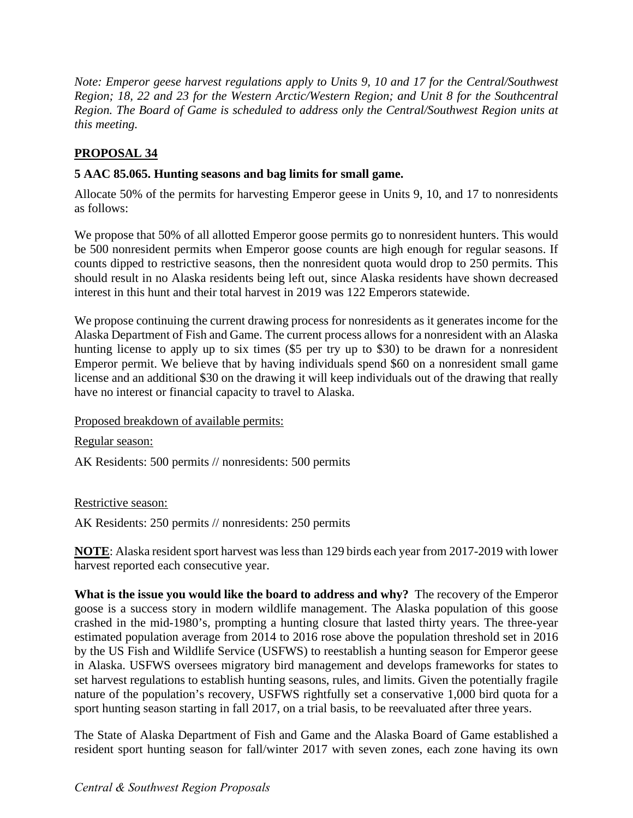*Note: Emperor geese harvest regulations apply to Units 9, 10 and 17 for the Central/Southwest Region; 18, 22 and 23 for the Western Arctic/Western Region; and Unit 8 for the Southcentral Region. The Board of Game is scheduled to address only the Central/Southwest Region units at this meeting.* 

## **PROPOSAL 34**

## **5 AAC 85.065. Hunting seasons and bag limits for small game.**

Allocate 50% of the permits for harvesting Emperor geese in Units 9, 10, and 17 to nonresidents as follows:

We propose that 50% of all allotted Emperor goose permits go to nonresident hunters. This would be 500 nonresident permits when Emperor goose counts are high enough for regular seasons. If counts dipped to restrictive seasons, then the nonresident quota would drop to 250 permits. This should result in no Alaska residents being left out, since Alaska residents have shown decreased interest in this hunt and their total harvest in 2019 was 122 Emperors statewide.

We propose continuing the current drawing process for nonresidents as it generates income for the Alaska Department of Fish and Game. The current process allows for a nonresident with an Alaska hunting license to apply up to six times (\$5 per try up to \$30) to be drawn for a nonresident Emperor permit. We believe that by having individuals spend \$60 on a nonresident small game license and an additional \$30 on the drawing it will keep individuals out of the drawing that really have no interest or financial capacity to travel to Alaska.

Proposed breakdown of available permits:

Regular season:

AK Residents: 500 permits // nonresidents: 500 permits

Restrictive season:

AK Residents: 250 permits // nonresidents: 250 permits

**NOTE**: Alaska resident sport harvest was less than 129 birds each year from 2017-2019 with lower harvest reported each consecutive year.

 **What is the issue you would like the board to address and why?** The recovery of the Emperor goose is a success story in modern wildlife management. The Alaska population of this goose crashed in the mid-1980's, prompting a hunting closure that lasted thirty years. The three-year estimated population average from 2014 to 2016 rose above the population threshold set in 2016 by the US Fish and Wildlife Service (USFWS) to reestablish a hunting season for Emperor geese in Alaska. USFWS oversees migratory bird management and develops frameworks for states to set harvest regulations to establish hunting seasons, rules, and limits. Given the potentially fragile nature of the population's recovery, USFWS rightfully set a conservative 1,000 bird quota for a sport hunting season starting in fall 2017, on a trial basis, to be reevaluated after three years.

The State of Alaska Department of Fish and Game and the Alaska Board of Game established a resident sport hunting season for fall/winter 2017 with seven zones, each zone having its own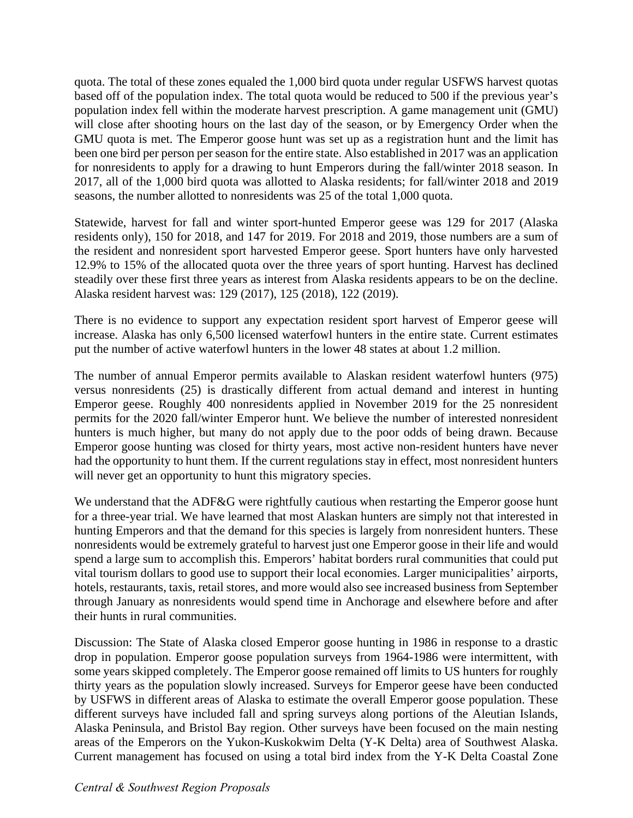quota. The total of these zones equaled the 1,000 bird quota under regular USFWS harvest quotas based off of the population index. The total quota would be reduced to 500 if the previous year's population index fell within the moderate harvest prescription. A game management unit (GMU) will close after shooting hours on the last day of the season, or by Emergency Order when the GMU quota is met. The Emperor goose hunt was set up as a registration hunt and the limit has been one bird per person per season for the entire state. Also established in 2017 was an application for nonresidents to apply for a drawing to hunt Emperors during the fall/winter 2018 season. In 2017, all of the 1,000 bird quota was allotted to Alaska residents; for fall/winter 2018 and 2019 seasons, the number allotted to nonresidents was 25 of the total 1,000 quota.

 residents only), 150 for 2018, and 147 for 2019. For 2018 and 2019, those numbers are a sum of Statewide, harvest for fall and winter sport-hunted Emperor geese was 129 for 2017 (Alaska the resident and nonresident sport harvested Emperor geese. Sport hunters have only harvested 12.9% to 15% of the allocated quota over the three years of sport hunting. Harvest has declined steadily over these first three years as interest from Alaska residents appears to be on the decline. Alaska resident harvest was: 129 (2017), 125 (2018), 122 (2019).

 increase. Alaska has only 6,500 licensed waterfowl hunters in the entire state. Current estimates There is no evidence to support any expectation resident sport harvest of Emperor geese will put the number of active waterfowl hunters in the lower 48 states at about 1.2 million.

The number of annual Emperor permits available to Alaskan resident waterfowl hunters (975) versus nonresidents (25) is drastically different from actual demand and interest in hunting Emperor geese. Roughly 400 nonresidents applied in November 2019 for the 25 nonresident permits for the 2020 fall/winter Emperor hunt. We believe the number of interested nonresident hunters is much higher, but many do not apply due to the poor odds of being drawn. Because Emperor goose hunting was closed for thirty years, most active non-resident hunters have never had the opportunity to hunt them. If the current regulations stay in effect, most nonresident hunters will never get an opportunity to hunt this migratory species.

We understand that the ADF&G were rightfully cautious when restarting the Emperor goose hunt for a three-year trial. We have learned that most Alaskan hunters are simply not that interested in hunting Emperors and that the demand for this species is largely from nonresident hunters. These nonresidents would be extremely grateful to harvest just one Emperor goose in their life and would spend a large sum to accomplish this. Emperors' habitat borders rural communities that could put vital tourism dollars to good use to support their local economies. Larger municipalities' airports, hotels, restaurants, taxis, retail stores, and more would also see increased business from September through January as nonresidents would spend time in Anchorage and elsewhere before and after their hunts in rural communities.

Discussion: The State of Alaska closed Emperor goose hunting in 1986 in response to a drastic drop in population. Emperor goose population surveys from 1964-1986 were intermittent, with some years skipped completely. The Emperor goose remained off limits to US hunters for roughly thirty years as the population slowly increased. Surveys for Emperor geese have been conducted by USFWS in different areas of Alaska to estimate the overall Emperor goose population. These different surveys have included fall and spring surveys along portions of the Aleutian Islands, Alaska Peninsula, and Bristol Bay region. Other surveys have been focused on the main nesting areas of the Emperors on the Yukon-Kuskokwim Delta (Y-K Delta) area of Southwest Alaska. Current management has focused on using a total bird index from the Y-K Delta Coastal Zone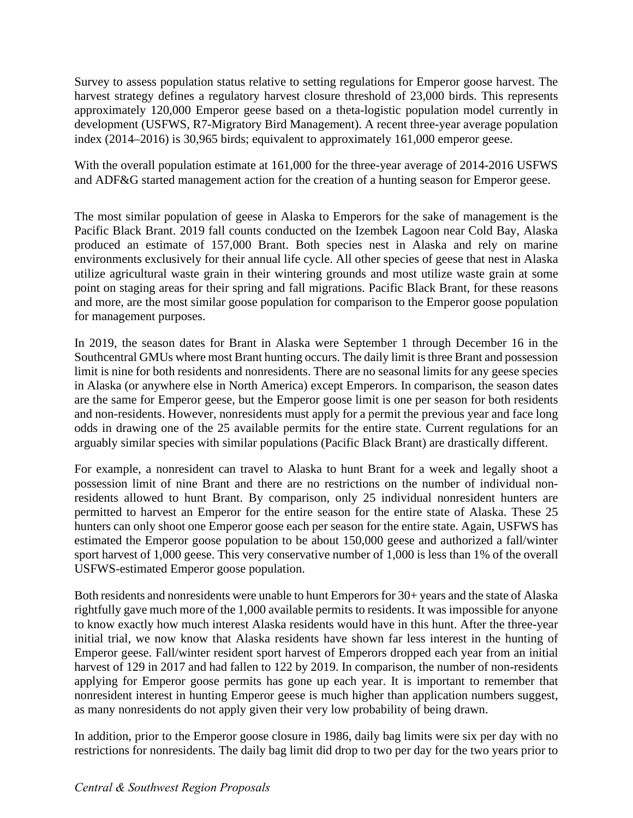Survey to assess population status relative to setting regulations for Emperor goose harvest. The harvest strategy defines a regulatory harvest closure threshold of 23,000 birds. This represents approximately 120,000 Emperor geese based on a theta-logistic population model currently in development (USFWS, R7-Migratory Bird Management). A recent three-year average population index (2014–2016) is 30,965 birds; equivalent to approximately 161,000 emperor geese.

With the overall population estimate at 161,000 for the three-year average of 2014-2016 USFWS and ADF&G started management action for the creation of a hunting season for Emperor geese.

The most similar population of geese in Alaska to Emperors for the sake of management is the Pacific Black Brant. 2019 fall counts conducted on the Izembek Lagoon near Cold Bay, Alaska produced an estimate of 157,000 Brant. Both species nest in Alaska and rely on marine environments exclusively for their annual life cycle. All other species of geese that nest in Alaska utilize agricultural waste grain in their wintering grounds and most utilize waste grain at some point on staging areas for their spring and fall migrations. Pacific Black Brant, for these reasons and more, are the most similar goose population for comparison to the Emperor goose population for management purposes.

 in Alaska (or anywhere else in North America) except Emperors. In comparison, the season dates are the same for Emperor geese, but the Emperor goose limit is one per season for both residents and non-residents. However, nonresidents must apply for a permit the previous year and face long In 2019, the season dates for Brant in Alaska were September 1 through December 16 in the Southcentral GMUs where most Brant hunting occurs. The daily limit is three Brant and possession limit is nine for both residents and nonresidents. There are no seasonal limits for any geese species odds in drawing one of the 25 available permits for the entire state. Current regulations for an arguably similar species with similar populations (Pacific Black Brant) are drastically different.

 permitted to harvest an Emperor for the entire season for the entire state of Alaska. These 25 For example, a nonresident can travel to Alaska to hunt Brant for a week and legally shoot a possession limit of nine Brant and there are no restrictions on the number of individual nonresidents allowed to hunt Brant. By comparison, only 25 individual nonresident hunters are hunters can only shoot one Emperor goose each per season for the entire state. Again, USFWS has estimated the Emperor goose population to be about 150,000 geese and authorized a fall/winter sport harvest of 1,000 geese. This very conservative number of 1,000 is less than 1% of the overall USFWS-estimated Emperor goose population.

Both residents and nonresidents were unable to hunt Emperors for 30+ years and the state of Alaska rightfully gave much more of the 1,000 available permits to residents. It was impossible for anyone to know exactly how much interest Alaska residents would have in this hunt. After the three-year initial trial, we now know that Alaska residents have shown far less interest in the hunting of Emperor geese. Fall/winter resident sport harvest of Emperors dropped each year from an initial harvest of 129 in 2017 and had fallen to 122 by 2019. In comparison, the number of non-residents applying for Emperor goose permits has gone up each year. It is important to remember that nonresident interest in hunting Emperor geese is much higher than application numbers suggest, as many nonresidents do not apply given their very low probability of being drawn.

In addition, prior to the Emperor goose closure in 1986, daily bag limits were six per day with no restrictions for nonresidents. The daily bag limit did drop to two per day for the two years prior to